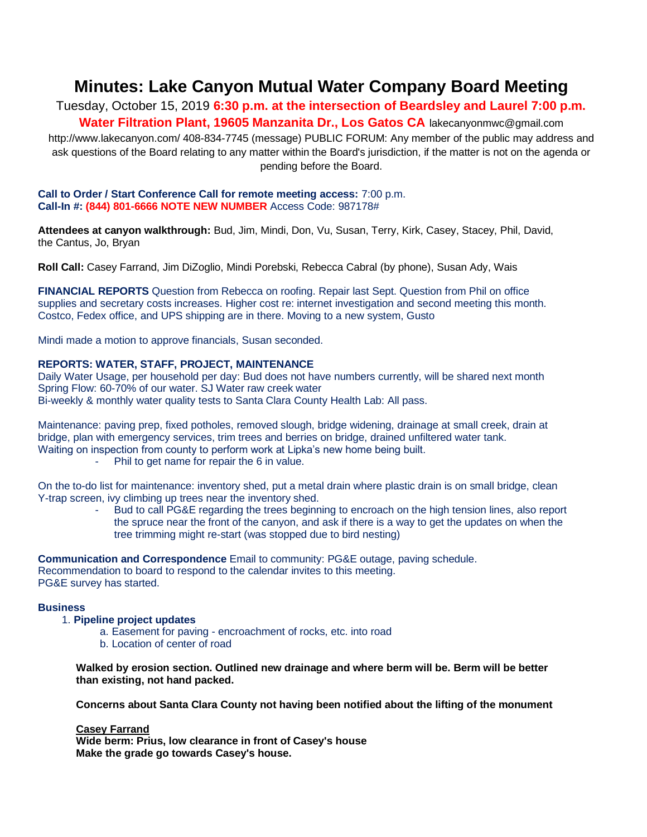# **Minutes: Lake Canyon Mutual Water Company Board Meeting**

Tuesday, October 15, 2019 **6:30 p.m. at the intersection of Beardsley and Laurel 7:00 p.m. Water Filtration Plant, 19605 Manzanita Dr., Los Gatos CA** lakecanyonmwc@gmail.com

http://www.lakecanyon.com/ 408-834-7745 (message) PUBLIC FORUM: Any member of the public may address and ask questions of the Board relating to any matter within the Board's jurisdiction, if the matter is not on the agenda or pending before the Board.

#### **Call to Order / Start Conference Call for remote meeting access:** 7:00 p.m. **Call-In #: (844) 801-6666 NOTE NEW NUMBER** Access Code: 987178#

**Attendees at canyon walkthrough:** Bud, Jim, Mindi, Don, Vu, Susan, Terry, Kirk, Casey, Stacey, Phil, David, the Cantus, Jo, Bryan

**Roll Call:** Casey Farrand, Jim DiZoglio, Mindi Porebski, Rebecca Cabral (by phone), Susan Ady, Wais

**FINANCIAL REPORTS** Question from Rebecca on roofing. Repair last Sept. Question from Phil on office supplies and secretary costs increases. Higher cost re: internet investigation and second meeting this month. Costco, Fedex office, and UPS shipping are in there. Moving to a new system, Gusto

Mindi made a motion to approve financials, Susan seconded.

### **REPORTS: WATER, STAFF, PROJECT, MAINTENANCE**

Daily Water Usage, per household per day: Bud does not have numbers currently, will be shared next month Spring Flow: 60-70% of our water. SJ Water raw creek water Bi-weekly & monthly water quality tests to Santa Clara County Health Lab: All pass.

Maintenance: paving prep, fixed potholes, removed slough, bridge widening, drainage at small creek, drain at bridge, plan with emergency services, trim trees and berries on bridge, drained unfiltered water tank. Waiting on inspection from county to perform work at Lipka's new home being built.

Phil to get name for repair the 6 in value.

On the to-do list for maintenance: inventory shed, put a metal drain where plastic drain is on small bridge, clean Y-trap screen, ivy climbing up trees near the inventory shed.

> - Bud to call PG&E regarding the trees beginning to encroach on the high tension lines, also report the spruce near the front of the canyon, and ask if there is a way to get the updates on when the tree trimming might re-start (was stopped due to bird nesting)

**Communication and Correspondence** Email to community: PG&E outage, paving schedule. Recommendation to board to respond to the calendar invites to this meeting. PG&E survey has started.

#### **Business**

- 1. **Pipeline project updates** 
	- a. Easement for paving encroachment of rocks, etc. into road
	- b. Location of center of road

**Walked by erosion section. Outlined new drainage and where berm will be. Berm will be better than existing, not hand packed.**

**Concerns about Santa Clara County not having been notified about the lifting of the monument**

### **Casey Farrand**

**Wide berm: Prius, low clearance in front of Casey's house Make the grade go towards Casey's house.**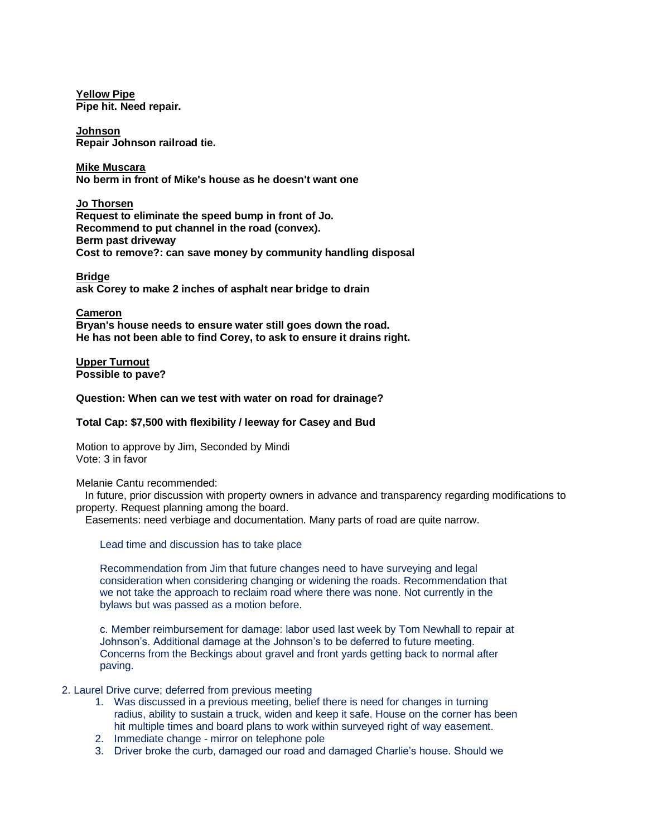**Yellow Pipe Pipe hit. Need repair.**

**Johnson Repair Johnson railroad tie.**

**Mike Muscara No berm in front of Mike's house as he doesn't want one**

**Jo Thorsen Request to eliminate the speed bump in front of Jo. Recommend to put channel in the road (convex). Berm past driveway Cost to remove?: can save money by community handling disposal**

**Bridge ask Corey to make 2 inches of asphalt near bridge to drain**

**Cameron Bryan's house needs to ensure water still goes down the road. He has not been able to find Corey, to ask to ensure it drains right.**

**Upper Turnout Possible to pave?**

**Question: When can we test with water on road for drainage?**

### **Total Cap: \$7,500 with flexibility / leeway for Casey and Bud**

Motion to approve by Jim, Seconded by Mindi Vote: 3 in favor

Melanie Cantu recommended:

 In future, prior discussion with property owners in advance and transparency regarding modifications to property. Request planning among the board.

Easements: need verbiage and documentation. Many parts of road are quite narrow.

Lead time and discussion has to take place

Recommendation from Jim that future changes need to have surveying and legal consideration when considering changing or widening the roads. Recommendation that we not take the approach to reclaim road where there was none. Not currently in the bylaws but was passed as a motion before.

c. Member reimbursement for damage: labor used last week by Tom Newhall to repair at Johnson's. Additional damage at the Johnson's to be deferred to future meeting. Concerns from the Beckings about gravel and front yards getting back to normal after paving.

### 2. Laurel Drive curve; deferred from previous meeting

- 1. Was discussed in a previous meeting, belief there is need for changes in turning radius, ability to sustain a truck, widen and keep it safe. House on the corner has been hit multiple times and board plans to work within surveyed right of way easement.
- 2. Immediate change mirror on telephone pole
- 3. Driver broke the curb, damaged our road and damaged Charlie's house. Should we